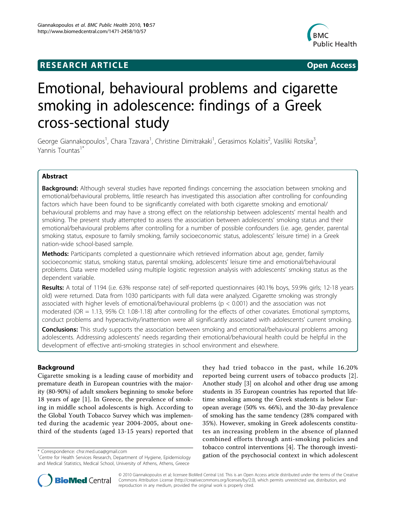# **RESEARCH ARTICLE Example 2018 12:00 Open Access**



# Emotional, behavioural problems and cigarette smoking in adolescence: findings of a Greek cross-sectional study

George Giannakopoulos<sup>1</sup>, Chara Tzavara<sup>1</sup>, Christine Dimitrakaki<sup>1</sup>, Gerasimos Kolaitis<sup>2</sup>, Vasiliki Rotsika<sup>3</sup> , Yannis Tountas<sup>1\*</sup>

# Abstract

**Background:** Although several studies have reported findings concerning the association between smoking and emotional/behavioural problems, little research has investigated this association after controlling for confounding factors which have been found to be significantly correlated with both cigarette smoking and emotional/ behavioural problems and may have a strong effect on the relationship between adolescents' mental health and smoking. The present study attempted to assess the association between adolescents' smoking status and their emotional/behavioural problems after controlling for a number of possible confounders (i.e. age, gender, parental smoking status, exposure to family smoking, family socioeconomic status, adolescents' leisure time) in a Greek nation-wide school-based sample.

Methods: Participants completed a questionnaire which retrieved information about age, gender, family socioeconomic status, smoking status, parental smoking, adolescents' leisure time and emotional/behavioural problems. Data were modelled using multiple logistic regression analysis with adolescents' smoking status as the dependent variable.

Results: A total of 1194 (i.e. 63% response rate) of self-reported questionnaires (40.1% boys, 59.9% girls; 12-18 years old) were returned. Data from 1030 participants with full data were analyzed. Cigarette smoking was strongly associated with higher levels of emotional/behavioural problems ( $p < 0.001$ ) and the association was not moderated (OR = 1.13, 95% CI: 1.08-1.18) after controlling for the effects of other covariates. Emotional symptoms, conduct problems and hyperactivity/inattention were all significantly associated with adolescents' current smoking.

Conclusions: This study supports the association between smoking and emotional/behavioural problems among adolescents. Addressing adolescents' needs regarding their emotional/behavioural health could be helpful in the development of effective anti-smoking strategies in school environment and elsewhere.

# Background

Cigarette smoking is a leading cause of morbidity and premature death in European countries with the majority (80-90%) of adult smokers beginning to smoke before 18 years of age [[1](#page-5-0)]. In Greece, the prevalence of smoking in middle school adolescents is high. According to the Global Youth Tobacco Survey which was implemented during the academic year 2004-2005, about onethird of the students (aged 13-15 years) reported that

they had tried tobacco in the past, while 16.20% reported being current users of tobacco products [[2\]](#page-5-0). Another study [\[3](#page-5-0)] on alcohol and other drug use among students in 35 European countries has reported that lifetime smoking among the Greek students is below European average (50% vs. 66%), and the 30-day prevalence of smoking has the same tendency (28% compared with 35%). However, smoking in Greek adolescents constitutes an increasing problem in the absence of planned combined efforts through anti-smoking policies and tobacco control interventions [[4\]](#page-5-0). The thorough investi\* Correspondence: [chsr.med.uoa@gmail.com](mailto:chsr.med.uoa@gmail.com)<br><sup>1</sup>Centre for Health Services Research Department of Hygiene Epidemiology **gation of the psychosocial context in which adolescent** 



© 2010 Giannakopoulos et al; licensee BioMed Central Ltd. This is an Open Access article distributed under the terms of the Creative Commons Attribution License [\(http://creativecommons.org/licenses/by/2.0](http://creativecommons.org/licenses/by/2.0)), which permits unrestricted use, distribution, and reproduction in any medium, provided the original work is properly cited.

<sup>&</sup>lt;sup>1</sup>Centre for Health Services Research, Department of Hygiene, Epidemiology and Medical Statistics, Medical School, University of Athens, Athens, Greece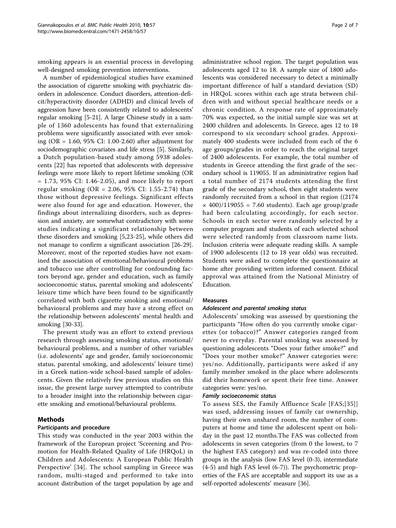smoking appears is an essential process in developing well-designed smoking prevention interventions.

A number of epidemiological studies have examined the association of cigarette smoking with psychiatric disorders in adolescence. Conduct disorders, attention-deficit/hyperactivity disorder (ADHD) and clinical levels of aggression have been consistently related to adolescents' regular smoking [\[5-](#page-5-0)[21](#page-6-0)]. A large Chinese study in a sample of 1360 adolescents has found that externalizing problems were significantly associated with ever smoking (OR = 1.60, 95% CI: 1.00-2.60) after adjustment for sociodemographic covariates and life stress [\[5](#page-5-0)]. Similarly, a Dutch population-based study among 5938 adolescents [[22\]](#page-6-0) has reported that adolescents with depressive feelings were more likely to report lifetime smoking (OR  $= 1.73, 95\%$  CI: 1.46-2.05), and more likely to report regular smoking (OR = 2.06, 95% CI: 1.55-2.74) than those without depressive feelings. Significant effects were also found for age and education. However, the findings about internalizing disorders, such as depression and anxiety, are somewhat contradictory with some studies indicating a significant relationship between these disorders and smoking [\[5](#page-5-0)[,23](#page-6-0)-[25\]](#page-6-0), while others did not manage to confirm a significant association [[26-29](#page-6-0)]. Moreover, most of the reported studies have not examined the association of emotional/behavioural problems and tobacco use after controlling for confounding factors beyond age, gender and education, such as family socioeconomic status, parental smoking and adolescents' leisure time which have been found to be significantly correlated with both cigarette smoking and emotional/ behavioural problems and may have a strong effect on the relationship between adolescents' mental health and smoking [[30](#page-6-0)-[33\]](#page-6-0).

The present study was an effort to extend previous research through assessing smoking status, emotional/ behavioural problems, and a number of other variables (i.e. adolescents' age and gender, family socioeconomic status, parental smoking, and adolescents' leisure time) in a Greek nation-wide school-based sample of adolescents. Given the relatively few previous studies on this issue, the present large survey attempted to contribute to a broader insight into the relationship between cigarette smoking and emotional/behavioural problems.

# Methods

# Participants and procedure

This study was conducted in the year 2003 within the framework of the European project 'Screening and Promotion for Health-Related Quality of Life (HRQoL) in Children and Adolescents: A European Public Health Perspective' [[34](#page-6-0)]. The school sampling in Greece was random, multi-staged and performed to take into account distribution of the target population by age and administrative school region. The target population was adolescents aged 12 to 18. A sample size of 1800 adolescents was considered necessary to detect a minimally important difference of half a standard deviation (SD) in HRQoL scores within each age strata between children with and without special healthcare needs or a chronic condition. A response rate of approximately 70% was expected, so the initial sample size was set at 2400 children and adolescents. In Greece, ages 12 to 18 correspond to six secondary school grades. Approximately 400 students were included from each of the 6 age groups/grades in order to reach the original target of 2400 adolescents. For example, the total number of students in Greece attending the first grade of the secondary school is 119055. If an administrative region had a total number of 2174 students attending the first grade of the secondary school, then eight students were randomly recruited from a school in that region ((2174  $\times$  400)/119055 = 7.60 students). Each age group/grade had been calculating accordingly, for each sector. Schools in each sector were randomly selected by a computer program and students of each selected school were selected randomly from classroom name lists. Inclusion criteria were adequate reading skills. A sample of 1900 adolescents (12 to 18 year olds) was recruited. Students were asked to complete the questionnaire at home after providing written informed consent. Ethical approval was attained from the National Ministry of Education.

# Measures

#### Adolescent and parental smoking status

Adolescents' smoking was assessed by questioning the participants "How often do you currently smoke cigarettes (or tobacco)?" Answer categories ranged from never to everyday. Parental smoking was assessed by questioning adolescents "Does your father smoke?" and "Does your mother smoke?" Answer categories were: yes/no. Additionally, participants were asked if any family member smoked in the place where adolescents did their homework or spent their free time. Answer categories were: yes/no.

#### Family socioeconomic status

To assess SES, the Family Affluence Scale [FAS;[[35\]](#page-6-0)] was used, addressing issues of family car ownership, having their own unshared room, the number of computers at home and time the adolescent spent on holiday in the past 12 months.The FAS was collected from adolescents in seven categories (from 0 the lowest, to 7 the highest FAS category) and was re-coded into three groups in the analysis (low FAS level (0-3), intermediate (4-5) and high FAS level (6-7)). The psychometric properties of the FAS are acceptable and support its use as a self-reported adolescents' measure [[36](#page-6-0)].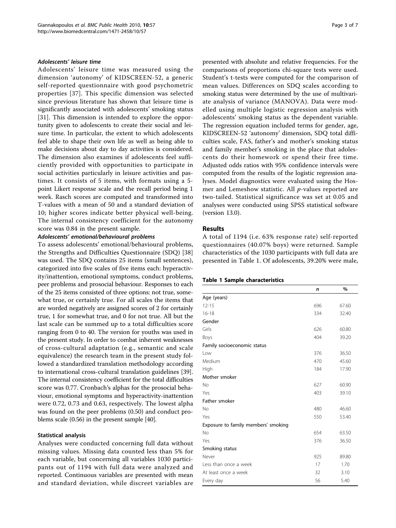#### Adolescents' leisure time

Adolescents' leisure time was measured using the dimension 'autonomy' of KIDSCREEN-52, a generic self-reported questionnaire with good psychometric properties [[37](#page-6-0)]. This specific dimension was selected since previous literature has shown that leisure time is significantly associated with adolescents' smoking status [[31](#page-6-0)]. This dimension is intended to explore the opportunity given to adolescents to create their social and leisure time. In particular, the extent to which adolescents feel able to shape their own life as well as being able to make decisions about day to day activities is considered. The dimension also examines if adolescents feel sufficiently provided with opportunities to participate in social activities particularly in leisure activities and pastimes. It consists of 5 items, with formats using a 5 point Likert response scale and the recall period being 1 week. Rasch scores are computed and transformed into T-values with a mean of 50 and a standard deviation of 10; higher scores indicate better physical well-being. The internal consistency coefficient for the autonomy score was 0.84 in the present sample.

#### Adolescents' emotional/behavioural problems

To assess adolescents' emotional/behavioural problems, the Strengths and Difficulties Questionnaire (SDQ) [\[38](#page-6-0)] was used. The SDQ contains 25 items (small sentences), categorized into five scales of five items each: hyperactivity/inattention, emotional symptoms, conduct problems, peer problems and prosocial behaviour. Responses to each of the 25 items consisted of three options: not true, somewhat true, or certainly true. For all scales the items that are worded negatively are assigned scores of 2 for certainly true, 1 for somewhat true, and 0 for not true. All but the last scale can be summed up to a total difficulties score ranging from 0 to 40. The version for youths was used in the present study. In order to combat inherent weaknesses of cross-cultural adaptation (e.g., semantic and scale equivalence) the research team in the present study followed a standardized translation methodology according to international cross-cultural translation guidelines [\[39](#page-6-0)]. The internal consistency coefficient for the total difficulties score was 0.77. Cronbach's alphas for the prosocial behaviour, emotional symptoms and hyperactivity-inattention were 0.72, 0.73 and 0.63, respectively. The lowest alpha was found on the peer problems (0.50) and conduct problems scale (0.56) in the present sample [\[40\]](#page-6-0).

#### Statistical analysis

Analyses were conducted concerning full data without missing values. Missing data counted less than 5% for each variable, but concerning all variables 1030 participants out of 1194 with full data were analyzed and reported. Continuous variables are presented with mean and standard deviation, while discreet variables are presented with absolute and relative frequencies. For the comparisons of proportions chi-square tests were used. Student's t-tests were computed for the comparison of mean values. Differences on SDQ scales according to smoking status were determined by the use of multivariate analysis of variance (MANOVA). Data were modelled using multiple logistic regression analysis with adolescents' smoking status as the dependent variable. The regression equation included terms for gender, age, KIDSCREEN-52 'autonomy' dimension, SDQ total difficulties scale, FAS, father's and mother's smoking status and family member's smoking in the place that adolescents do their homework or spend their free time. Adjusted odds ratios with 95% confidence intervals were computed from the results of the logistic regression analyses. Model diagnostics were evaluated using the Hosmer and Lemeshow statistic. All p-values reported are two-tailed. Statistical significance was set at 0.05 and analyses were conducted using SPSS statistical software (version 13.0).

## Results

A total of 1194 (i.e. 63% response rate) self-reported questionnaires (40.07% boys) were returned. Sample characteristics of the 1030 participants with full data are presented in Table 1. Of adolescents, 39.20% were male,

#### Table 1 Sample characteristics

|                                     | $\mathsf{n}$ | $\%$  |
|-------------------------------------|--------------|-------|
| Age (years)                         |              |       |
| $12 - 15$                           | 696          | 67.60 |
| $16 - 18$                           | 334          | 32.40 |
| Gender                              |              |       |
| Girls                               | 626          | 60.80 |
| Boys                                | 404          | 39.20 |
| Family socioeconomic status         |              |       |
| l ow                                | 376          | 36.50 |
| Medium                              | 470          | 45.60 |
| High                                | 184          | 17.90 |
| Mother smoker                       |              |       |
| <b>No</b>                           | 627          | 60.90 |
| Yes                                 | 403          | 39.10 |
| Father smoker                       |              |       |
| No                                  | 480          | 46.60 |
| Yes                                 | 550          | 53.40 |
| Exposure to family members' smoking |              |       |
| No                                  | 654          | 63.50 |
| Yes                                 | 376          | 36.50 |
| Smoking status                      |              |       |
| Never                               | 925          | 89.80 |
| Less than once a week               | 17           | 1.70  |
| At least once a week                | 32           | 3.10  |
| Every day                           | 56           | 5.40  |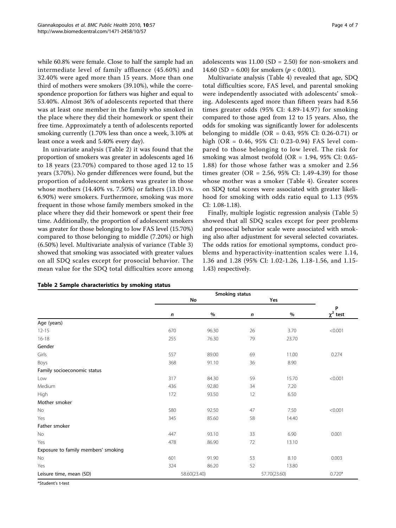while 60.8% were female. Close to half the sample had an intermediate level of family affluence (45.60%) and 32.40% were aged more than 15 years. More than one third of mothers were smokers (39.10%), while the correspondence proportion for fathers was higher and equal to 53.40%. Almost 36% of adolescents reported that there was at least one member in the family who smoked in the place where they did their homework or spent their free time. Approximately a tenth of adolescents reported smoking currently (1.70% less than once a week, 3.10% at least once a week and 5.40% every day).

In univariate analysis (Table 2) it was found that the proportion of smokers was greater in adolescents aged 16 to 18 years (23.70%) compared to those aged 12 to 15 years (3.70%). No gender differences were found, but the proportion of adolescent smokers was greater in those whose mothers (14.40% vs. 7.50%) or fathers (13.10 vs. 6.90%) were smokers. Furthermore, smoking was more frequent in those whose family members smoked in the place where they did their homework or spent their free time. Additionally, the proportion of adolescent smokers was greater for those belonging to low FAS level (15.70%) compared to those belonging to middle (7.20%) or high (6.50%) level. Multivariate analysis of variance (Table [3](#page-4-0)) showed that smoking was associated with greater values on all SDQ scales except for prosocial behavior. The mean value for the SDQ total difficulties score among adolescents was  $11.00$  (SD = 2.50) for non-smokers and 14.60 (SD = 6.00) for smokers ( $p < 0.001$ ).

Multivariate analysis (Table [4\)](#page-4-0) revealed that age, SDQ total difficulties score, FAS level, and parental smoking were independently associated with adolescents' smoking. Adolescents aged more than fifteen years had 8.56 times greater odds (95% CI: 4.89-14.97) for smoking compared to those aged from 12 to 15 years. Also, the odds for smoking was significantly lower for adolescents belonging to middle (OR =  $0.43$ ,  $95\%$  CI:  $0.26 - 0.71$ ) or high (OR = 0.46, 95% CI: 0.23-0.94) FAS level compared to those belonging to low level. The risk for smoking was almost twofold (OR = 1.94, 95% CI: 0.65-1.88) for those whose father was a smoker and 2.56 times greater (OR = 2.56, 95% CI: 1.49-4.39) for those whose mother was a smoker (Table [4](#page-4-0)). Greater scores on SDQ total scores were associated with greater likelihood for smoking with odds ratio equal to 1.13 (95% CI: 1.08-1.18).

Finally, multiple logistic regression analysis (Table [5](#page-4-0)) showed that all SDQ scales except for peer problems and prosocial behavior scale were associated with smoking also after adjustment for several selected covariates. The odds ratios for emotional symptoms, conduct problems and hyperactivity-inattention scales were 1.14, 1.36 and 1.28 (95% CI: 1.02-1.26, 1.18-1.56, and 1.15- 1.43) respectively.

|                                     | Smoking status |              |     |              |                    |
|-------------------------------------|----------------|--------------|-----|--------------|--------------------|
|                                     | No             |              | Yes |              |                    |
|                                     | n              | $\%$         | n   | $\%$         | P<br>$\chi^2$ test |
| Age (years)                         |                |              |     |              |                    |
| $12 - 15$                           | 670            | 96.30        | 26  | 3.70         | < 0.001            |
| $16 - 18$                           | 255            | 76.30        | 79  | 23.70        |                    |
| Gender                              |                |              |     |              |                    |
| Girls                               | 557            | 89.00        | 69  | 11.00        | 0.274              |
| Boys                                | 368            | 91.10        | 36  | 8.90         |                    |
| Family socioeconomic status         |                |              |     |              |                    |
| Low                                 | 317            | 84.30        | 59  | 15.70        | < 0.001            |
| Medium                              | 436            | 92.80        | 34  | 7.20         |                    |
| High                                | 172            | 93.50        | 12  | 6.50         |                    |
| Mother smoker                       |                |              |     |              |                    |
| No                                  | 580            | 92.50        | 47  | 7.50         | < 0.001            |
| Yes                                 | 345            | 85.60        | 58  | 14.40        |                    |
| Father smoker                       |                |              |     |              |                    |
| No                                  | 447            | 93.10        | 33  | 6.90         | 0.001              |
| Yes                                 | 478            | 86.90        | 72  | 13.10        |                    |
| Exposure to family members' smoking |                |              |     |              |                    |
| No                                  | 601            | 91.90        | 53  | 8.10         | 0.003              |
| Yes                                 | 324            | 86.20        | 52  | 13.80        |                    |
| Leisure time, mean (SD)             |                | 58.60(23.40) |     | 57.70(23.60) | $0.720*$           |

Table 2 Sample characteristics by smoking status

\*Student's t-test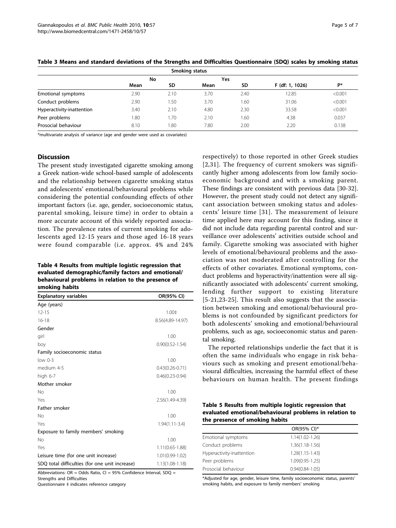| Smoking status            |      |           |      |           |                 |            |
|---------------------------|------|-----------|------|-----------|-----------------|------------|
|                           | No   |           | Yes  |           |                 |            |
|                           | Mean | <b>SD</b> | Mean | <b>SD</b> | F (df: 1, 1026) | <b>D</b> * |
| Emotional symptoms        | 2.90 | 2.10      | 3.70 | 2.40      | 12.85           | < 0.001    |
| Conduct problems          | 2.90 | 1.50      | 3.70 | 1.60      | 31.06           | < 0.001    |
| Hyperactivity-inattention | 3.40 | 2.10      | 4.80 | 2.30      | 33.58           | < 0.001    |
| Peer problems             | .80  | 1.70      | 2.10 | 1.60      | 4.38            | 0.037      |
| Prosocial behaviour       | 8.10 | 1.80      | 7.80 | 2.00      | 2.20            | 0.138      |

## <span id="page-4-0"></span>Table 3 Means and standard deviations of the Strengths and Difficulties Questionnaire (SDQ) scales by smoking status

\*multivariate analysis of variance (age and gender were used as covariates)

## **Discussion**

The present study investigated cigarette smoking among a Greek nation-wide school-based sample of adolescents and the relationship between cigarette smoking status and adolescents' emotional/behavioural problems while considering the potential confounding effects of other important factors (i.e. age, gender, socioeconomic status, parental smoking, leisure time) in order to obtain a more accurate account of this widely reported association. The prevalence rates of current smoking for adolescents aged 12-15 years and those aged 16-18 years were found comparable (i.e. approx. 4% and 24%

## Table 4 Results from multiple logistic regression that evaluated demographic/family factors and emotional/ behavioural problems in relation to the presence of smoking habits

| <b>Explanatory variables</b>                   | OR(95% CI)          |
|------------------------------------------------|---------------------|
| Age (years)                                    |                     |
| $12 - 15$                                      | $1.00 \pm$          |
| $16 - 18$                                      | 8.56(4.89-14.97)    |
| Gender                                         |                     |
| girl                                           | 1.00                |
| boy                                            | $0.90(0.52 - 1.54)$ |
| Family socioeconomic status                    |                     |
| $low 0-3$                                      | 1.00                |
| medium 4-5                                     | $0.43(0.26 - 0.71)$ |
| high 6-7                                       | $0.46(0.23 - 0.94)$ |
| Mother smoker                                  |                     |
| No                                             | 1.00                |
| Yes                                            | 2.56(1.49-4.39)     |
| <b>Father smoker</b>                           |                     |
| No                                             | 1.00                |
| Yes                                            | $1.94(1.11 - 3.4)$  |
| Exposure to family members' smoking            |                     |
| No                                             | 1.00                |
| Yes                                            | $1.11(0.65 - 1.88)$ |
| Leisure time (for one unit increase)           | 1.01(0.99-1.02)     |
| SDQ total difficulties (for one unit increase) | $1.13(1.08-1.18)$   |

Abbreviations: OR = Odds Ratio, CI = 95% Confidence Interval, SDQ = Strengths and Difficulties Questionnaire ‡ indicates reference category

respectively) to those reported in other Greek studies [[2](#page-5-0),[31](#page-6-0)]. The frequency of current smokers was significantly higher among adolescents from low family socioeconomic background and with a smoking parent. These findings are consistent with previous data [\[30-32](#page-6-0)]. However, the present study could not detect any significant association between smoking status and adolescents' leisure time [\[31\]](#page-6-0). The measurement of leisure time applied here may account for this finding, since it did not include data regarding parental control and surveillance over adolescents' activities outside school and family. Cigarette smoking was associated with higher levels of emotional/behavioural problems and the association was not moderated after controlling for the effects of other covariates. Emotional symptoms, conduct problems and hyperactivity/inattention were all significantly associated with adolescents' current smoking, lending further support to existing literature [[5](#page-5-0)-[21,23](#page-6-0)-[25\]](#page-6-0). This result also suggests that the association between smoking and emotional/behavioural problems is not confounded by significant predictors for both adolescents' smoking and emotional/behavioural problems, such as age, socioeconomic status and parental smoking.

The reported relationships underlie the fact that it is often the same individuals who engage in risk behaviours such as smoking and present emotional/behavioural difficulties, increasing the harmful effect of these behaviours on human health. The present findings

| Table 5 Results from multiple logistic regression that  |
|---------------------------------------------------------|
| evaluated emotional/behavioural problems in relation to |
| the presence of smoking habits                          |

|                           | OR(95% CI)*         |  |
|---------------------------|---------------------|--|
| Emotional symptoms        | $1.14(1.02 - 1.26)$ |  |
| Conduct problems          | $1.36(1.18-1.56)$   |  |
| Hyperactivity-inattention | $1.28(1.15 - 1.43)$ |  |
| Peer problems             | $1.09(0.95 - 1.25)$ |  |
| Prosocial behaviour       | $0.94(0.84 - 1.05)$ |  |

\*Adjusted for age, gender, leisure time, family socioeconomic status, parents' smoking habits, and exposure to family members' smoking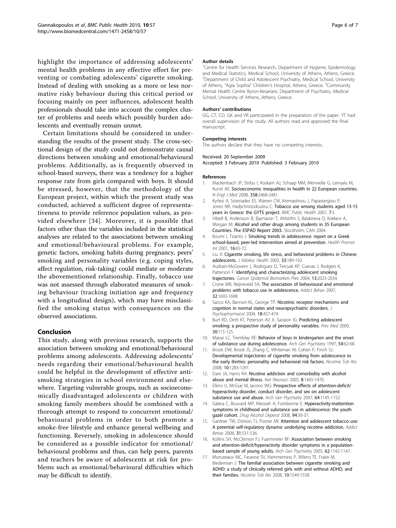<span id="page-5-0"></span>highlight the importance of addressing adolescents' mental health problems in any effective effort for preventing or combating adolescents' cigarette smoking. Instead of dealing with smoking as a more or less normative risky behaviour during this critical period or focusing mainly on peer influences, adolescent health professionals should take into account the complex cluster of problems and needs which possibly burden adolescents and eventually remain unmet.

Certain limitations should be considered in understanding the results of the present study. The cross-sectional design of the study could not demonstrate causal directions between smoking and emotional/behavioural problems. Additionally, as is frequently observed in school-based surveys, there was a tendency for a higher response rate from girls compared with boys. It should be stressed, however, that the methodology of the European project, within which the present study was conducted, achieved a sufficient degree of representativeness to provide reference population values, as provided elsewhere [[34](#page-6-0)]. Moreover, it is possible that factors other than the variables included in the statistical analyses are related to the associations between smoking and emotional/behavioural problems. For example, genetic factors, smoking habits during pregnancy, peers' smoking and personality variables (e.g. coping styles, affect regulation, risk-taking) could mediate or moderate the abovementioned relationship. Finally, tobacco use was not assessed through elaborated measures of smoking behaviour (tracking initiation age and frequency with a longitudinal design), which may have misclassified the smoking status with consequences on the observed associations.

#### Conclusion

This study, along with previous research, supports the association between smoking and emotional/behavioural problems among adolescents. Addressing adolescents' needs regarding their emotional/behavioural health could be helpful in the development of effective antismoking strategies in school environment and elsewhere. Targeting vulnerable groups, such as socioeconomically disadvantaged adolescents or children with smoking family members should be combined with a thorough attempt to respond to concurrent emotional/ behavioural problems in order to both promote a smoke-free lifestyle and enhance general wellbeing and functioning. Reversely, smoking in adolescence should be considered as a possible indicator for emotional/ behavioural problems and thus, can help peers, parents and teachers be aware of adolescents at risk for problems such as emotional/behavioural difficulties which may be difficult to identify.

#### Author details

<sup>1</sup>Centre for Health Services Research, Department of Hygiene, Epidemiology and Medical Statistics, Medical School, University of Athens, Athens, Greece. <sup>2</sup>Department of Child and Adolescent Psychiatry, Medical School, University of Athens, "Agia Sophia" Children's Hospital, Athens, Greece. <sup>3</sup>Community Mental Health Centre Byron-Kesariani, Department of Psychiatry, Medical School, University of Athens, Athens, Greece.

#### Authors' contributions

GG, CT, CD, GK and VR participated in the preparation of the paper. YT had overall supervision of the study. All authors read and approved the final manuscript.

#### Competing interests

The authors declare that they have no competing interests.

#### Received: 20 September 2009

Accepted: 3 February 2010 Published: 3 February 2010

#### References

- 1. Mackenbach JP, Stirbu I, Roskam AJ, Schaap MM, Menvielle G, Leinsalu M, Kunst AE: [Socioeconomic inequalities in health in 22 European countries.](http://www.ncbi.nlm.nih.gov/pubmed/18525043?dopt=Abstract) N Engl J Med 2008, 358:2468-2481.
- 2. Kyrlesi A, Soteriades ES, Warren CW, Kremastinou J, Papastergiou P, Jones NR, Hadjichristodoulou C: [Tobacco use among students aged 13-15](http://www.ncbi.nlm.nih.gov/pubmed/17207291?dopt=Abstract) [years in Greece: the GYTS project.](http://www.ncbi.nlm.nih.gov/pubmed/17207291?dopt=Abstract) BMC Public Health 2007, 7:3.
- 3. Hibell B, Andersson B, Bjarnason T, Ahlstrfm S, Balakireva O, Kokkevi A, Morgan M: Alcohol and other drugs among students in 35 European Countries. The ESPAD Report 2003. Stockholm: CAN 2004.
- 4. Koumi I, Tsiantis J: [Smoking trends in adolescence: report on a Greek](http://www.ncbi.nlm.nih.gov/pubmed/11257854?dopt=Abstract) [school-based, peer-led intervention aimed at prevention.](http://www.ncbi.nlm.nih.gov/pubmed/11257854?dopt=Abstract) Health Promot Int 2001, 16:65-72.
- 5. Liu X: [Cigarette smoking, life stress, and behavioral problems in Chinese](http://www.ncbi.nlm.nih.gov/pubmed/12944009?dopt=Abstract) [adolescents.](http://www.ncbi.nlm.nih.gov/pubmed/12944009?dopt=Abstract) J Adolesc Health 2003, 33:189-192.
- 6. Audrain-McGovern J, Rodriguez D, Tercyak KP, Cuevas J, Rodgers K, Patterson F: [Identifying and characterizing adolescent smoking](http://www.ncbi.nlm.nih.gov/pubmed/15598757?dopt=Abstract) [trajectories.](http://www.ncbi.nlm.nih.gov/pubmed/15598757?dopt=Abstract) Cancer Epidemiol Biomarkers Prev 2004, 13:2023-2034.
- 7. Crone MR, Reijneveld SA: [The association of behavioural and emotional](http://www.ncbi.nlm.nih.gov/pubmed/17175113?dopt=Abstract) [problems with tobacco use in adolescence.](http://www.ncbi.nlm.nih.gov/pubmed/17175113?dopt=Abstract) Addict Behav 2007, 32:1692-1698.
- 8. Sacco KA, Bannon KL, George TP: [Nicotinic receptor mechanisms and](http://www.ncbi.nlm.nih.gov/pubmed/15582913?dopt=Abstract) [cognition in normal states and neuropsychiatric disorders.](http://www.ncbi.nlm.nih.gov/pubmed/15582913?dopt=Abstract) J Psychopharmacol 2004, 18:457-474.
- 9. Burt RD, Dinh KT, Peterson AV Jr, Sarason IG: [Predicting adolescent](http://www.ncbi.nlm.nih.gov/pubmed/10656839?dopt=Abstract) [smoking: a prospective study of personality variables.](http://www.ncbi.nlm.nih.gov/pubmed/10656839?dopt=Abstract) Prev Med 2000, 30:115-125.
- 10. Masse LC, Tremblay RE: [Behavior of boys in kindergarten and the onset](http://www.ncbi.nlm.nih.gov/pubmed/9006402?dopt=Abstract) [of substance use during adolescence.](http://www.ncbi.nlm.nih.gov/pubmed/9006402?dopt=Abstract) Arch Gen Psychiatry 1997, 54:62-68.
- 11. Brook DW, Brook JS, Zhang C, Whiteman M, Cohen P, Finch SJ: [Developmental trajectories of cigarette smoking from adolescence to](http://www.ncbi.nlm.nih.gov/pubmed/18686175?dopt=Abstract) [the early thirties: personality and behavioral risk factors.](http://www.ncbi.nlm.nih.gov/pubmed/18686175?dopt=Abstract) Nicotine Tob Res 2008, 10:1283-1291.
- 12. Dani JA, Harris RA: [Nicotine addiction and comorbidity with alcohol](http://www.ncbi.nlm.nih.gov/pubmed/16251989?dopt=Abstract) [abuse and mental illness.](http://www.ncbi.nlm.nih.gov/pubmed/16251989?dopt=Abstract) Nat Neurosci 2005, 8:1465-1470.
- 13. Elkins IJ, McGue M, Iacono WG: [Prospective effects of attention-deficit/](http://www.ncbi.nlm.nih.gov/pubmed/17909126?dopt=Abstract) [hyperactivity disorder, conduct disorder, and sex on adolescent](http://www.ncbi.nlm.nih.gov/pubmed/17909126?dopt=Abstract) [substance use and abuse.](http://www.ncbi.nlm.nih.gov/pubmed/17909126?dopt=Abstract) Arch Gen Psychiatry 2007, 64:1145-1152
- 14. Galera C, Bouvard MP, Messiah A, Fombonne E: [Hyperactivity-inattention](http://www.ncbi.nlm.nih.gov/pubmed/18065164?dopt=Abstract) [symptoms in childhood and substance use in adolescence: the youth](http://www.ncbi.nlm.nih.gov/pubmed/18065164?dopt=Abstract) [gazel cohort.](http://www.ncbi.nlm.nih.gov/pubmed/18065164?dopt=Abstract) Drug Alcohol Depend 2008, 94:30-37.
- 15. Gardner TW, Dishion TJ, Posner MI: [Attention and adolescent tobacco use:](http://www.ncbi.nlm.nih.gov/pubmed/15951129?dopt=Abstract) [A potential self-regulatory dynamic underlying nicotine addiction.](http://www.ncbi.nlm.nih.gov/pubmed/15951129?dopt=Abstract) Addict Behav 2006, 31:531-536.
- 16. Kollins SH, McClernon FJ, Fuemmeler BF: [Association between smoking](http://www.ncbi.nlm.nih.gov/pubmed/16203959?dopt=Abstract) [and attention-deficit/hyperactivity disorder symptoms in a population](http://www.ncbi.nlm.nih.gov/pubmed/16203959?dopt=Abstract)[based sample of young adults.](http://www.ncbi.nlm.nih.gov/pubmed/16203959?dopt=Abstract) Arch Gen Psychiatry 2005, 62:1142-1147.
- 17. Monuteaux MC, Faraone SV, Hammerness P, Wilens TE, Fraire M, Biederman J: [The familial association between cigarette smoking and](http://www.ncbi.nlm.nih.gov/pubmed/18946774?dopt=Abstract) [ADHD: a study of clinically referred girls with and without ADHD, and](http://www.ncbi.nlm.nih.gov/pubmed/18946774?dopt=Abstract) [their families.](http://www.ncbi.nlm.nih.gov/pubmed/18946774?dopt=Abstract) Nicotine Tob Res 2008, 10:1549-1558.